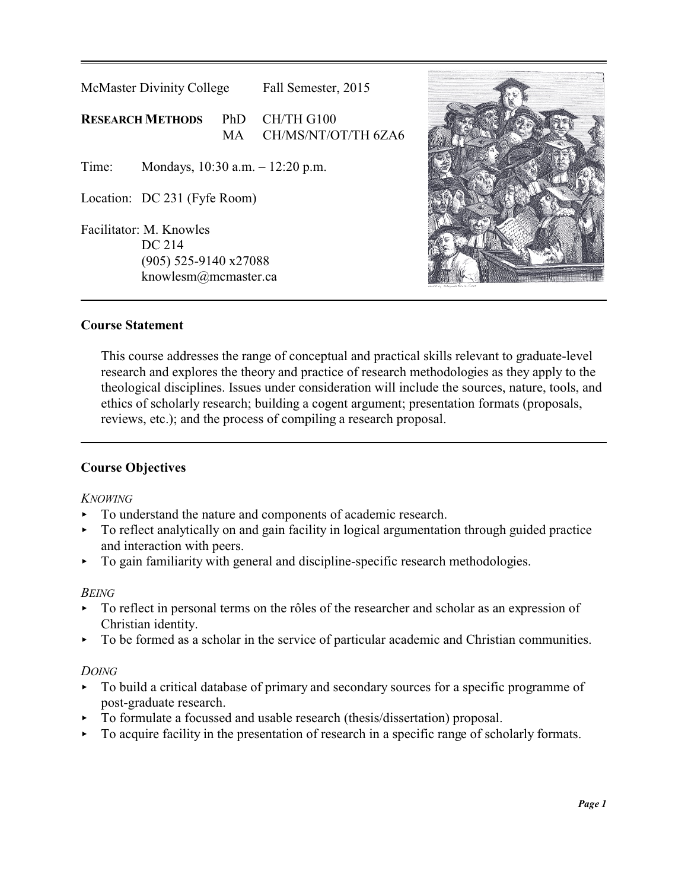



### **Course Statement**

This course addresses the range of conceptual and practical skills relevant to graduate-level research and explores the theory and practice of research methodologies as they apply to the theological disciplines. Issues under consideration will include the sources, nature, tools, and ethics of scholarly research; building a cogent argument; presentation formats (proposals, reviews, etc.); and the process of compiling a research proposal.

# **Course Objectives**

### *KNOWING*

- < To understand the nature and components of academic research.
- $\triangleright$  To reflect analytically on and gain facility in logical argumentation through guided practice and interaction with peers.
- $\triangleright$  To gain familiarity with general and discipline-specific research methodologies.

#### *BEING*

- $\triangleright$  To reflect in personal terms on the rôles of the researcher and scholar as an expression of Christian identity.
- < To be formed as a scholar in the service of particular academic and Christian communities.

#### *DOING*

- < To build a critical database of primary and secondary sources for a specific programme of post-graduate research.
- < To formulate a focussed and usable research (thesis/dissertation) proposal.
- < To acquire facility in the presentation of research in a specific range of scholarly formats.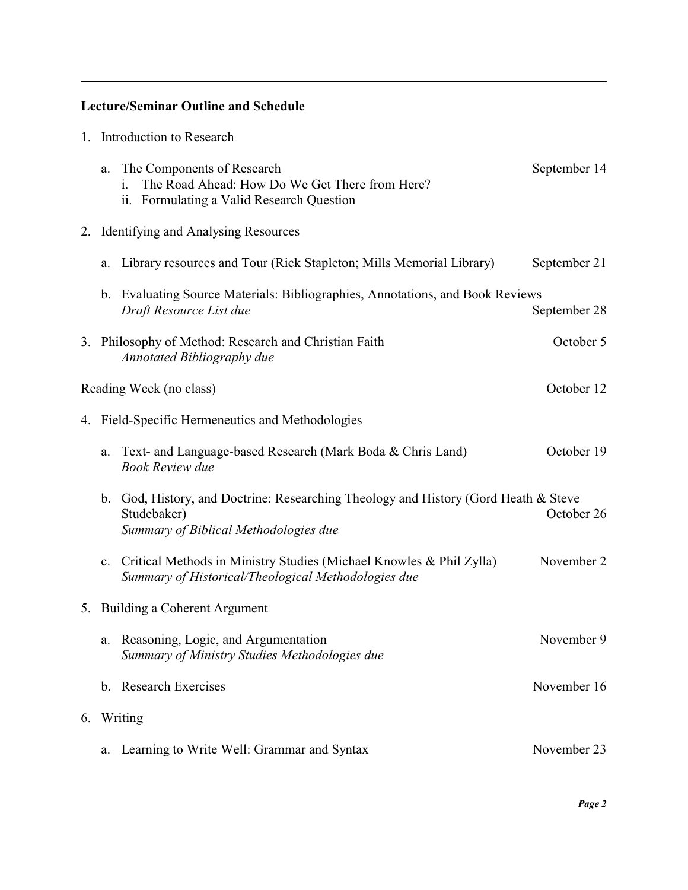# **Lecture/Seminar Outline and Schedule**

|                                                  | 1. Introduction to Research |                                                                                                                                          |              |  |
|--------------------------------------------------|-----------------------------|------------------------------------------------------------------------------------------------------------------------------------------|--------------|--|
|                                                  | a.                          | The Components of Research<br>The Road Ahead: How Do We Get There from Here?<br>i.<br>Formulating a Valid Research Question<br>ii.       | September 14 |  |
|                                                  |                             | 2. Identifying and Analysing Resources                                                                                                   |              |  |
|                                                  | a.                          | Library resources and Tour (Rick Stapleton; Mills Memorial Library)                                                                      | September 21 |  |
|                                                  |                             | b. Evaluating Source Materials: Bibliographies, Annotations, and Book Reviews<br>Draft Resource List due                                 | September 28 |  |
|                                                  |                             | 3. Philosophy of Method: Research and Christian Faith<br><b>Annotated Bibliography due</b>                                               | October 5    |  |
|                                                  |                             | Reading Week (no class)                                                                                                                  | October 12   |  |
| 4. Field-Specific Hermeneutics and Methodologies |                             |                                                                                                                                          |              |  |
|                                                  | a.                          | Text- and Language-based Research (Mark Boda & Chris Land)<br><b>Book Review due</b>                                                     | October 19   |  |
|                                                  | $\mathbf{b}$ .              | God, History, and Doctrine: Researching Theology and History (Gord Heath & Steve<br>Studebaker)<br>Summary of Biblical Methodologies due | October 26   |  |
|                                                  |                             | c. Critical Methods in Ministry Studies (Michael Knowles & Phil Zylla)<br>Summary of Historical/Theological Methodologies due            | November 2   |  |
| 5. Building a Coherent Argument                  |                             |                                                                                                                                          |              |  |
|                                                  | a.                          | Reasoning, Logic, and Argumentation<br>Summary of Ministry Studies Methodologies due                                                     | November 9   |  |
|                                                  |                             | b. Research Exercises                                                                                                                    | November 16  |  |
| 6.                                               |                             | Writing                                                                                                                                  |              |  |
|                                                  | a.                          | Learning to Write Well: Grammar and Syntax                                                                                               | November 23  |  |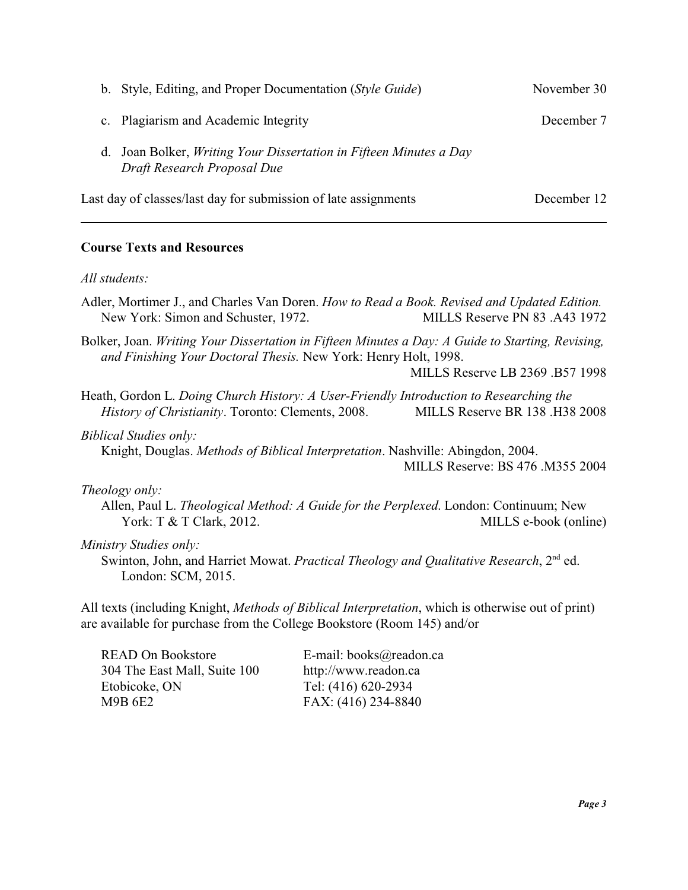| b. Style, Editing, and Proper Documentation (Style Guide)                                         | November 30 |  |
|---------------------------------------------------------------------------------------------------|-------------|--|
| c. Plagiarism and Academic Integrity                                                              | December 7  |  |
| d. Joan Bolker, Writing Your Dissertation in Fifteen Minutes a Day<br>Draft Research Proposal Due |             |  |
| Last day of classes/last day for submission of late assignments                                   | December 12 |  |

### **Course Texts and Resources**

#### *All students:*

Adler, Mortimer J., and Charles Van Doren. *How to Read a Book. Revised and Updated Edition.* New York: Simon and Schuster, 1972. MILLS Reserve PN 83 .A43 1972

Bolker, Joan. *Writing Your Dissertation in Fifteen Minutes a Day: A Guide to Starting, Revising, and Finishing Your Doctoral Thesis.* New York: Henry Holt, 1998.

MILLS Reserve LB 2369 .B57 1998

Heath, Gordon L. *Doing Church History: A User-Friendly Introduction to Researching the History of Christianity*. Toronto: Clements, 2008. MILLS Reserve BR 138 .H38 2008

#### *Biblical Studies only:*

Knight, Douglas. *Methods of Biblical Interpretation*. Nashville: Abingdon, 2004. MILLS Reserve: BS 476 .M355 2004

#### *Theology only:*

Allen, Paul L. *Theological Method: A Guide for the Perplexed*. London: Continuum; New York: T & T Clark, 2012. MILLS e-book (online)

#### *Ministry Studies only:*

Swinton, John, and Harriet Mowat. Practical Theology and Qualitative Research, 2<sup>nd</sup> ed. London: SCM, 2015.

All texts (including Knight, *Methods of Biblical Interpretation*, which is otherwise out of print) are available for purchase from the College Bookstore (Room 145) and/or

| E-mail: books@readon.ca |
|-------------------------|
| http://www.readon.ca    |
| Tel: (416) 620-2934     |
| FAX: (416) 234-8840     |
|                         |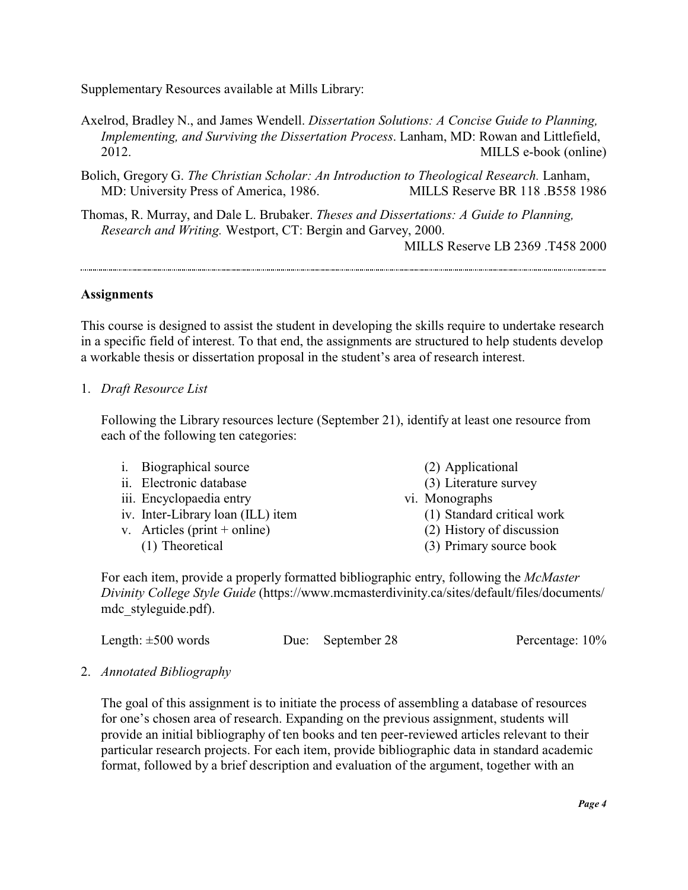Supplementary Resources available at Mills Library:

- Axelrod, Bradley N., and James Wendell. *Dissertation Solutions: A Concise Guide to Planning, Implementing, and Surviving the Dissertation Process*. Lanham, MD: Rowan and Littlefield, 2012. MILLS e-book (online)
- Bolich, Gregory G. *The Christian Scholar: An Introduction to Theological Research.* Lanham, MD: University Press of America, 1986. MILLS Reserve BR 118 .B558 1986
- Thomas, R. Murray, and Dale L. Brubaker. *Theses and Dissertations: A Guide to Planning, Research and Writing.* Westport, CT: Bergin and Garvey, 2000.

MILLS Reserve LB 2369 .T458 2000

### **Assignments**

This course is designed to assist the student in developing the skills require to undertake research in a specific field of interest. To that end, the assignments are structured to help students develop a workable thesis or dissertation proposal in the student's area of research interest.

### 1. *Draft Resource List*

Following the Library resources lecture (September 21), identify at least one resource from each of the following ten categories:

- i. Biographical source
- ii. Electronic database
- iii. Encyclopaedia entry
- iv. Inter-Library loan (ILL) item
- v. Articles (print + online)
	- (1) Theoretical
- (2) Applicational
- (3) Literature survey
- vi. Monographs
	- (1) Standard critical work
	- (2) History of discussion
	- (3) Primary source book

For each item, provide a properly formatted bibliographic entry, following the *McMaster Divinity College Style Guide* (https://www.mcmasterdivinity.ca/sites/default/files/documents/ mdc\_styleguide.pdf).

| Length: $\pm 500$ words | Due: September 28 | Percentage: 10% |
|-------------------------|-------------------|-----------------|
|-------------------------|-------------------|-----------------|

### 2. *Annotated Bibliography*

The goal of this assignment is to initiate the process of assembling a database of resources for one's chosen area of research. Expanding on the previous assignment, students will provide an initial bibliography of ten books and ten peer-reviewed articles relevant to their particular research projects. For each item, provide bibliographic data in standard academic format, followed by a brief description and evaluation of the argument, together with an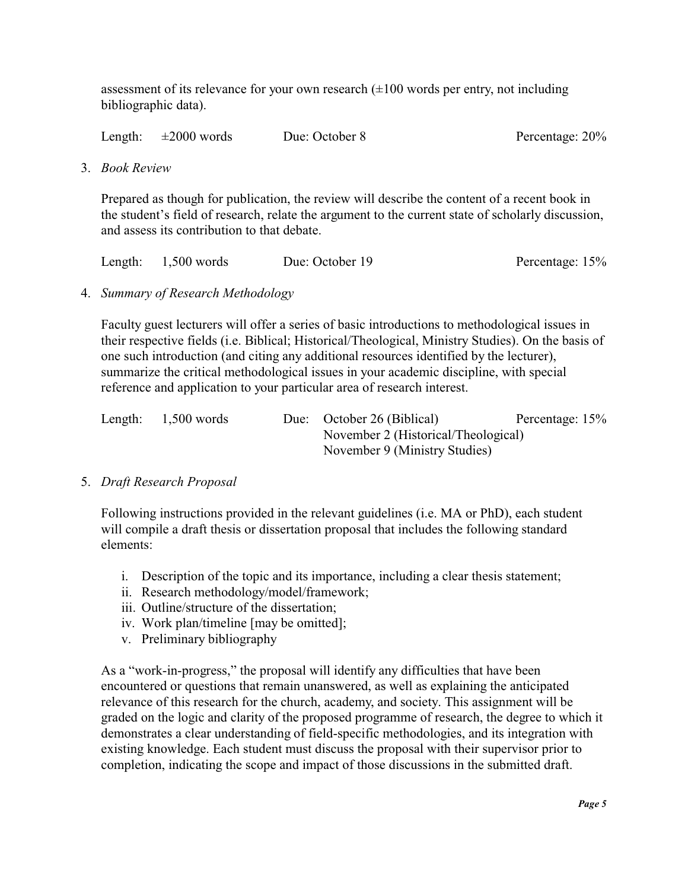assessment of its relevance for your own research  $(\pm 100$  words per entry, not including bibliographic data).

| Length: | $\pm 2000$ words | Due: October 8 | Percentage: 20% |
|---------|------------------|----------------|-----------------|
|         |                  |                |                 |

3. *Book Review* 

Prepared as though for publication, the review will describe the content of a recent book in the student's field of research, relate the argument to the current state of scholarly discussion, and assess its contribution to that debate.

| Length: $1,500$ words | Due: October 19 | Percentage: 15% |
|-----------------------|-----------------|-----------------|
|                       |                 |                 |

4. *Summary of Research Methodology*

Faculty guest lecturers will offer a series of basic introductions to methodological issues in their respective fields (i.e. Biblical; Historical/Theological, Ministry Studies). On the basis of one such introduction (and citing any additional resources identified by the lecturer), summarize the critical methodological issues in your academic discipline, with special reference and application to your particular area of research interest.

| Length: | $1,500$ words |  | Due: October 26 (Biblical)          | Percentage: 15% |
|---------|---------------|--|-------------------------------------|-----------------|
|         |               |  | November 2 (Historical/Theological) |                 |
|         |               |  | November 9 (Ministry Studies)       |                 |

### 5. *Draft Research Proposal*

Following instructions provided in the relevant guidelines (i.e. MA or PhD), each student will compile a draft thesis or dissertation proposal that includes the following standard elements:

- i. Description of the topic and its importance, including a clear thesis statement;
- ii. Research methodology/model/framework;
- iii. Outline/structure of the dissertation;
- iv. Work plan/timeline [may be omitted];
- v. Preliminary bibliography

As a "work-in-progress," the proposal will identify any difficulties that have been encountered or questions that remain unanswered, as well as explaining the anticipated relevance of this research for the church, academy, and society. This assignment will be graded on the logic and clarity of the proposed programme of research, the degree to which it demonstrates a clear understanding of field-specific methodologies, and its integration with existing knowledge. Each student must discuss the proposal with their supervisor prior to completion, indicating the scope and impact of those discussions in the submitted draft.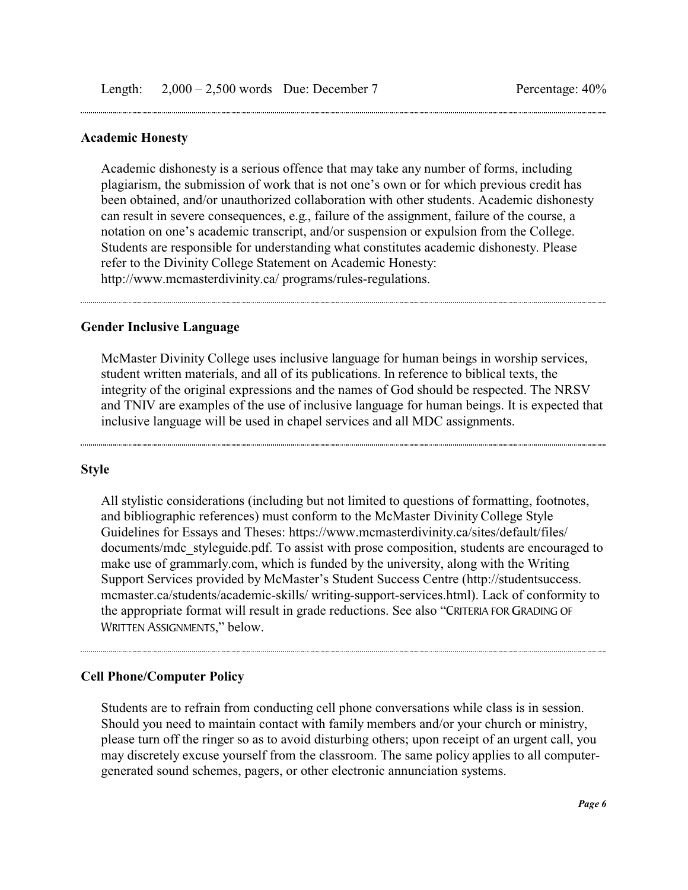#### **Academic Honesty**

Academic dishonesty is a serious offence that may take any number of forms, including plagiarism, the submission of work that is not one's own or for which previous credit has been obtained, and/or unauthorized collaboration with other students. Academic dishonesty can result in severe consequences, e.g., failure of the assignment, failure of the course, a notation on one's academic transcript, and/or suspension or expulsion from the College. Students are responsible for understanding what constitutes academic dishonesty. Please refer to the Divinity College Statement on Academic Honesty: http://www.mcmasterdivinity.ca/ programs/rules-regulations.

#### **Gender Inclusive Language**

McMaster Divinity College uses inclusive language for human beings in worship services, student written materials, and all of its publications. In reference to biblical texts, the integrity of the original expressions and the names of God should be respected. The NRSV and TNIV are examples of the use of inclusive language for human beings. It is expected that inclusive language will be used in chapel services and all MDC assignments.

#### **Style**

All stylistic considerations (including but not limited to questions of formatting, footnotes, and bibliographic references) must conform to the McMaster Divinity College Style Guidelines for Essays and Theses: https://www.mcmasterdivinity.ca/sites/default/files/ documents/mdc\_styleguide.pdf. To assist with prose composition, students are encouraged to make use of grammarly.com, which is funded by the university, along with the Writing Support Services provided by McMaster's Student Success Centre (http://studentsuccess. mcmaster.ca/students/academic-skills/ writing-support-services.html). Lack of conformity to the appropriate format will result in grade reductions. See also "CRITERIA FOR GRADING OF WRITTEN ASSIGNMENTS," below.

#### **Cell Phone/Computer Policy**

Students are to refrain from conducting cell phone conversations while class is in session. Should you need to maintain contact with family members and/or your church or ministry, please turn off the ringer so as to avoid disturbing others; upon receipt of an urgent call, you may discretely excuse yourself from the classroom. The same policy applies to all computergenerated sound schemes, pagers, or other electronic annunciation systems.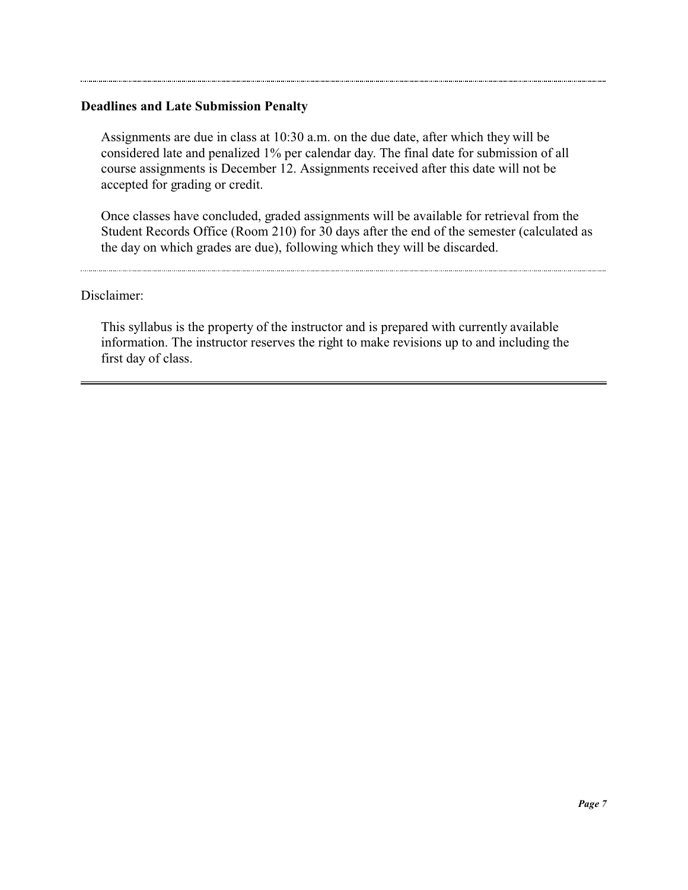### **Deadlines and Late Submission Penalty**

Assignments are due in class at 10:30 a.m. on the due date, after which they will be considered late and penalized 1% per calendar day. The final date for submission of all course assignments is December 12. Assignments received after this date will not be accepted for grading or credit.

Once classes have concluded, graded assignments will be available for retrieval from the Student Records Office (Room 210) for 30 days after the end of the semester (calculated as the day on which grades are due), following which they will be discarded.

#### Disclaimer:

This syllabus is the property of the instructor and is prepared with currently available information. The instructor reserves the right to make revisions up to and including the first day of class.